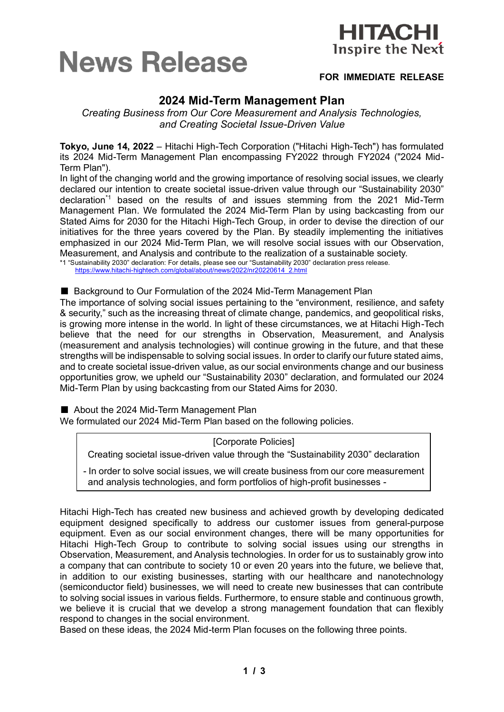



# **FOR IMMEDIATE RELEASE**

# **2024 Mid-Term Management Plan**

*Creating Business from Our Core Measurement and Analysis Technologies, and Creating Societal Issue-Driven Value*

**Tokyo, June 14, 2022** – Hitachi High-Tech Corporation ("Hitachi High-Tech") has formulated its 2024 Mid-Term Management Plan encompassing FY2022 through FY2024 ("2024 Mid-Term Plan").

In light of the changing world and the growing importance of resolving social issues, we clearly declared our intention to create societal issue-driven value through our "Sustainability 2030" declaration\*1 based on the results of and issues stemming from the 2021 Mid-Term Management Plan. We formulated the 2024 Mid-Term Plan by using backcasting from our Stated Aims for 2030 for the Hitachi High-Tech Group, in order to devise the direction of our initiatives for the three years covered by the Plan. By steadily implementing the initiatives emphasized in our 2024 Mid-Term Plan, we will resolve social issues with our Observation, Measurement, and Analysis and contribute to the realization of a sustainable society.

\*1 "Sustainability 2030" declaration: For details, please see our "Sustainability 2030" declaration press release. [https://www.hitachi-hightech.com/global/about/news/2022/nr20220614\\_2.html](https://www.hitachi-hightech.com/global/about/news/2022/nr20220614_2.html)

### ■ Background to Our Formulation of the 2024 Mid-Term Management Plan

The importance of solving social issues pertaining to the "environment, resilience, and safety & security," such as the increasing threat of climate change, pandemics, and geopolitical risks, is growing more intense in the world. In light of these circumstances, we at Hitachi High-Tech believe that the need for our strengths in Observation, Measurement, and Analysis (measurement and analysis technologies) will continue growing in the future, and that these strengths will be indispensable to solving social issues. In order to clarify our future stated aims, and to create societal issue-driven value, as our social environments change and our business opportunities grow, we upheld our "Sustainability 2030" declaration, and formulated our 2024 Mid-Term Plan by using backcasting from our Stated Aims for 2030.

■ About the 2024 Mid-Term Management Plan

We formulated our 2024 Mid-Term Plan based on the following policies.

[Corporate Policies]

Creating societal issue-driven value through the "Sustainability 2030" declaration

- In order to solve social issues, we will create business from our core measurement and analysis technologies, and form portfolios of high-profit businesses -

Hitachi High-Tech has created new business and achieved growth by developing dedicated equipment designed specifically to address our customer issues from general-purpose equipment. Even as our social environment changes, there will be many opportunities for Hitachi High-Tech Group to contribute to solving social issues using our strengths in Observation, Measurement, and Analysis technologies. In order for us to sustainably grow into a company that can contribute to society 10 or even 20 years into the future, we believe that, in addition to our existing businesses, starting with our healthcare and nanotechnology (semiconductor field) businesses, we will need to create new businesses that can contribute to solving social issues in various fields. Furthermore, to ensure stable and continuous growth, we believe it is crucial that we develop a strong management foundation that can flexibly respond to changes in the social environment.

Based on these ideas, the 2024 Mid-term Plan focuses on the following three points.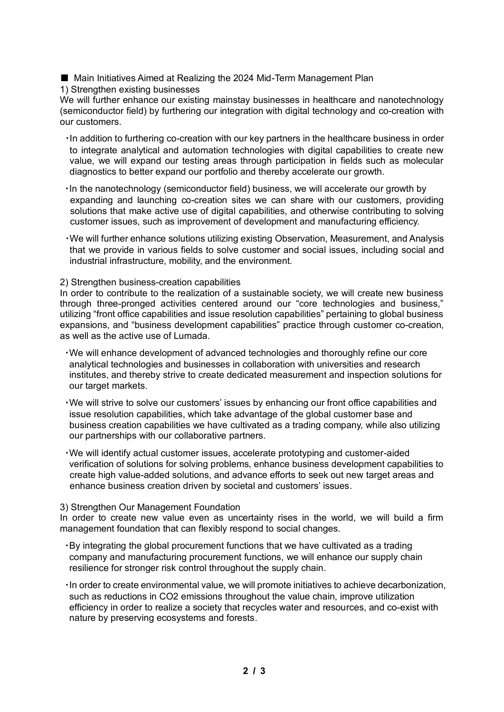■ Main Initiatives Aimed at Realizing the 2024 Mid-Term Management Plan

1) Strengthen existing businesses

We will further enhance our existing mainstay businesses in healthcare and nanotechnology (semiconductor field) by furthering our integration with digital technology and co-creation with our customers.

- ・In addition to furthering co-creation with our key partners in the healthcare business in order to integrate analytical and automation technologies with digital capabilities to create new value, we will expand our testing areas through participation in fields such as molecular diagnostics to better expand our portfolio and thereby accelerate our growth.
- ・In the nanotechnology (semiconductor field) business, we will accelerate our growth by expanding and launching co-creation sites we can share with our customers, providing solutions that make active use of digital capabilities, and otherwise contributing to solving customer issues, such as improvement of development and manufacturing efficiency.
- ・We will further enhance solutions utilizing existing Observation, Measurement, and Analysis that we provide in various fields to solve customer and social issues, including social and industrial infrastructure, mobility, and the environment.

2) Strengthen business-creation capabilities

In order to contribute to the realization of a sustainable society, we will create new business through three-pronged activities centered around our "core technologies and business," utilizing "front office capabilities and issue resolution capabilities" pertaining to global business expansions, and "business development capabilities" practice through customer co-creation, as well as the active use of Lumada.

- ・We will enhance development of advanced technologies and thoroughly refine our core analytical technologies and businesses in collaboration with universities and research institutes, and thereby strive to create dedicated measurement and inspection solutions for our target markets.
- ・We will strive to solve our customers' issues by enhancing our front office capabilities and issue resolution capabilities, which take advantage of the global customer base and business creation capabilities we have cultivated as a trading company, while also utilizing our partnerships with our collaborative partners.
- ・We will identify actual customer issues, accelerate prototyping and customer-aided verification of solutions for solving problems, enhance business development capabilities to create high value-added solutions, and advance efforts to seek out new target areas and enhance business creation driven by societal and customers' issues.

# 3) Strengthen Our Management Foundation

In order to create new value even as uncertainty rises in the world, we will build a firm management foundation that can flexibly respond to social changes.

- ・By integrating the global procurement functions that we have cultivated as a trading company and manufacturing procurement functions, we will enhance our supply chain resilience for stronger risk control throughout the supply chain.
- ・In order to create environmental value, we will promote initiatives to achieve decarbonization, such as reductions in CO2 emissions throughout the value chain, improve utilization efficiency in order to realize a society that recycles water and resources, and co-exist with nature by preserving ecosystems and forests.